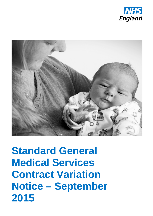



**Standard General Medical Services Contract Variation Notice – September 2015**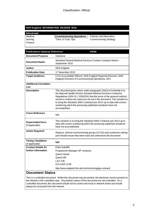#### **NHS England INFORMATION READER BOX**

| <b>Directorate</b> |                                 |                               |
|--------------------|---------------------------------|-------------------------------|
| Medical            | <b>Commissioning Operations</b> | Patients and Information      |
| Nursing            | Trans. & Corp. Ops.             | <b>Commissioning Strategy</b> |
| l Finance          |                                 |                               |

| <b>Publications Gateway Reference:</b>            | 04292                                                                                                                                                                                                                                                                                                                                                                                                                                                   |
|---------------------------------------------------|---------------------------------------------------------------------------------------------------------------------------------------------------------------------------------------------------------------------------------------------------------------------------------------------------------------------------------------------------------------------------------------------------------------------------------------------------------|
| <b>Document Purpose</b>                           | Guidance                                                                                                                                                                                                                                                                                                                                                                                                                                                |
| <b>Document Name</b>                              | Standard General Medical Services Contract Variation Notice -<br>September 2015                                                                                                                                                                                                                                                                                                                                                                         |
| <b>Author</b>                                     | <b>NHS England</b>                                                                                                                                                                                                                                                                                                                                                                                                                                      |
| <b>Publication Date</b>                           | 17 November 2015                                                                                                                                                                                                                                                                                                                                                                                                                                        |
| <b>Target Audience</b>                            | CCG Accountable Officers, NHS England Regional Directors, NHS<br>England Directors of Commissioning Operations, GPs                                                                                                                                                                                                                                                                                                                                     |
| <b>Additional Circulation</b><br>List             |                                                                                                                                                                                                                                                                                                                                                                                                                                                         |
| <b>Description</b>                                | This document gives notice under paragraph 104(2) of Schedule 6 to<br>the National Health Service (General Medical Services Contracts)<br>Regulations 2004 (S.l. 2004/291) that the terms of the general medical<br>services contract are varied as set out in the document. This variation is<br>to bring the Standard GMS Contracts pre-2013 up to date with correct<br>numbering which the previously published variations have not<br>accomplished. |
| <b>Cross Reference</b>                            | N/A                                                                                                                                                                                                                                                                                                                                                                                                                                                     |
| <b>Superseded Docs</b><br>(if applicable)         | This variation is to bring the Standard GMS Contracts pre-2013 up to<br>date with correct numbering which the previously published variations<br>have not accomplished.                                                                                                                                                                                                                                                                                 |
| <b>Action Required</b>                            | Regions, clinical commissioning groups (CCGs) and contractors taking<br>part should ensure they have read and understood the document                                                                                                                                                                                                                                                                                                                   |
| <b>Timing / Deadlines</b><br>(if applicable)      | N/A                                                                                                                                                                                                                                                                                                                                                                                                                                                     |
| <b>Contact Details for</b><br>further information | Erika Sutcliffe<br>Programme Manager GP contracts<br>Quarry House<br>Quarry Hill<br>LS2 7UE<br>01138251138<br>http://www.england.nhs.uk/commissioning/gp-contract/                                                                                                                                                                                                                                                                                      |
|                                                   |                                                                                                                                                                                                                                                                                                                                                                                                                                                         |

#### **Document Status**

This is a controlled document. Whilst this document may be printed, the electronic version posted on the intranet is the controlled copy. Any printed copies of this document are not controlled. As a controlled document, this document should not be saved onto local or network drives but should always be accessed from the intranet.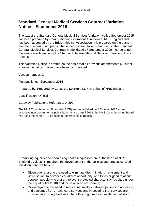# **Standard General Medical Services Contract Variation Notice – September 2015**

The text of the Standard General Medical Services Variation Notice September 2015 has been prepared by Commissioning Operations Directorate, NHS England and has been approved by the British Medical Association. It is prepared on the basis that the numbering adopted in the signed contract follows that used in the Standard General Medical Services Contract model dated 17 September 2009 incorporating the amendments made by the Standard General Medical Services Variation Notice April 2012.

This Variation Notice is drafted on the basis that all previous amendments pursuant to earlier variation notices have been incorporated.

Version number: 2

First published: September 2015

Prepared by: Prepared by Capsticks Solicitors LLP on behalf of NHS England

Classification: Official

Gateway Publications Reference: 04292

The NHS Commissioning Board (NHS CB) was established on 1 October 2012 as an executive non-departmental public body. Since 1 April 2013, the NHS Commissioning Board has used the name NHS England for operational purposes.

"Promoting equality and addressing health inequalities are at the heart of NHS England's values. Throughout the development of the policies and processes cited in this document, we have:

- Given due regard to the need to eliminate discrimination, harassment and victimisation, to advance equality of opportunity, and to foster good relations between people who share a relevant protected characteristic (as cited under the Equality Act 2010) and those who do not share it;
- <span id="page-2-0"></span>• Given regard to the need to reduce inequalities between patients in access to, and outcomes from, healthcare services and in securing that services are provided in an integrated way where this might reduce health inequalities."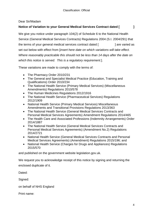### Dear Sir/Madam

### **Notice of Variation to your General Medical Services Contract dated [ ]**

We give you notice under paragraph 104(2) of Schedule 6 to the National Health Service (General Medical Services Contracts) Regulations 2004 (S.I. 2004/291) that the terms of your general medical services contract dated [  $\qquad$  ] are varied as set out below with effect from [*insert here date on which variations will take effect. Where reasonably practicable this should not be less than 14 days after the date on which this notice is served. This is a regulatory requirement.*].

These variations are made to comply with the terms of:

- The Pharmacy Order 2010/231
- The General and Specialist Medical Practice (Education, Training and Qualifications) Order 2010/234
- The National Health Service (Primary Medical Services) (Miscellaneous Amendments) Regulations 2010/578
- The Human Medicines Regulations 2012/1916
- The National Health Service (Pharmaceutical Services) Regulations 2012/1909
- National Health Service (Primary Medical Services) Miscellaneous Amendments and Transitional Provisions Regulations 2013/363
- The National Health Service (General Medical Services Contracts and Personal Medical Services Agreements) Amendment Regulations 2014/465
- The Health Care and Associated Professions (Indemnity Arrangements) Order 2014/1887
- The National Health Service (General Medical Services Contracts and Personal Medical Services Agreements) (Amendment No.2) Regulations 2014/2721
- National Health Service (General Medical Services Contracts and Personal Medical Services Agreements) (Amendment) Regulations 2015/196; and
- National Health Service (Charges for Drugs and Appliances) Regulations 2015/570

and published on the government website legislation.gov.uk.

We request you to acknowledge receipt of this notice by signing and returning the enclosed duplicate of it.

Dated:

Signed:

on behalf of NHS England

Print name: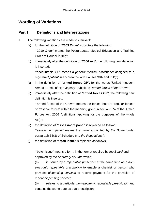# **Wording of Variations**

## **Part 1 Definitions and Interpretations**

- 1. The following variations are made to **clause 1**:
	- (a) for the definition of "**2003 Order**" substitute the following: ""2010 Order" means the Postgraduate Medical Education and Training Order of Council 2010;";
	- (b) immediately after the definition of "**2006 Act**", the following new definition is inserted:

""accountable GP" means a *general medical practitioner* assigned to a *registered patient* in accordance with clauses 38A and 35B;";

- (c) in the definition of "**armed forces GP**", for the words "United Kingdom Armed Forces of Her Majesty" substitute "*armed forces of the Crown*";
- (d) immediately after the definition of "**armed forces GP**", the following new definition is inserted:

""armed forces of the Crown" means the forces that are "regular forces" or "reserve forces" within the meaning given in section 374 of the Armed Forces Act 2006 (definitions applying for the purposes of the whole Act);";

(e) the definition of "**assessment panel**" is replaced as follows:

""assessment panel" means the panel appointed by *the Board* under paragraph 35(3) of Schedule 6 to *the Regulations*;";

(f) the definition of "**batch issue**" is replaced as follows:

""batch issue" means a form, in the format required by *the Board* and approved by *the Secretary of State* which:

(a) is issued by a *repeatable prescriber* at the same time as a *nonelectronic repeatable prescription* to enable a chemist or person who provides *dispensing services* to receive payment for the provision of repeat *dispensing services*;

(b) relates to a particular *non-electronic repeatable prescription* and contains the same date as that prescription;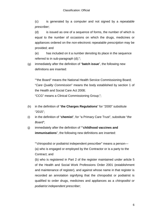(c) is generated by a computer and not signed by a *repeatable prescriber*;

(d) is issued as one of a sequence of forms, the number of which is equal to the number of occasions on which the drugs, medicines or appliances ordered on the *non-electronic repeatable prescription* may be provided; and

(e) has included on it a number denoting its place in the sequence referred to in sub-paragraph (d);";

(g) immediately after the definition of "**batch issue**", the following new definitions are inserted:

""the Board" means the National Health Service Commissioning Board; "*Care Quality Commission*" means the body established by section 1 of the Health and Social Care Act 2008;

"CCG" means a Clinical Commissioning Group;";

- (h) in the definition of "**the Charges Regulations**" for "2000" substitute "2015";
- (i) in the definition of "**chemist**", for "a Primary Care Trust", substitute "*the Board*";
- (j) immediately after the definition of ""**childhood vaccines and immunisations**", the following new definitions are inserted:

""chiropodist or podiatrist independent prescriber" means a person— (a) who is engaged or employed by the Contractor or is a party to the Contract; and

(b) who is registered in Part 2 of the register maintained under article 5 of the Health and Social Work Professions Order 2001 (establishment and maintenance of register), and against whose name in that register is recorded an annotation signifying that the chiropodist or podiatrist is qualified to order drugs, medicines and appliances as a *chiropodist or podiatrist independent prescriber*;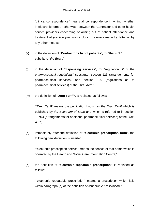"clinical correspondence" means all correspondence in writing, whether in electronic form or otherwise, between the Contractor and other health service providers concerning or arising out of patient attendance and treatment at *practice premises* including referrals made by letter or by any other means;"

- (k) in the definition of "**Contractor's list of patients**", for "the PCT", substitute "*the Board*";
- (l) in the definition of "**dispensing services**", for "regulation 60 of the *pharmaceutical regulations*" substitute "section 126 (arrangements for pharmaceutical services) and section 129 (regulations as to pharmaceutical services) of the *2006 Act*".";
- (m) the definition of "**Drug Tariff"**, is replaced as follows:

""Drug Tariff" means the publication known as the *Drug Tariff* which is published by *the Secretary of State* and which is referred to in section 127(4) (arrangements for additional pharmaceutical services) of the *2006 Act*;";

(n) immediately after the definition of "**electronic prescription form**", the following new definition is inserted:

""electronic prescription service" means the service of that name which is operated by the Health and Social Care Information Centre;"

(o) the definition of "**electronic repeatable prescription**", is replaced as follows:

""electronic repeatable prescription" means a prescription which falls within paragraph (b) of the definition of *repeatable prescription*;"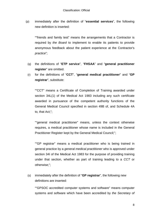(p) immediately after the definition of "**essential services**", the following new definition is inserted:

""friends and family test" means the arrangements that a Contractor is required by *the Board* to implement to enable its patients to provide anonymous feedback about the patient experience at the Contractor's *practice*";

- (q) the definitions of "**ETP service**", "**FHSAA**" and "**general practitioner register**" are omitted.
- (r) for the definitions of "**CCT**", "**general medical practitioner**" and "**GP registrar**", substitute:

""CCT" means a Certificate of Completion of Training awarded under section 34L(1) of the Medical Act 1983 including any such certificate awarded in pursuance of the competent authority functions of the General Medical Council specified in section 49B of, and Schedule 4A to, that Act;";

""general medical practitioner" means, unless the context otherwise requires, a medical practitioner whose name is included in the General Practitioner Register kept by the General Medical Council;";

""GP registrar" means a medical practitioner who is being trained in general practice by a *general medical practitioner* who is approved under section 34I of the Medical Act 1983 for the purpose of providing training under that section, whether as part of training leading to a *CCT* or otherwise;";

(s) immediately after the definition of "**GP registrar**", the following new definitions are inserted:

""GPSOC accredited computer systems and software" means computer systems and software which have been accredited by *the Secretary of*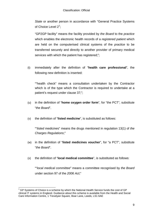*State* or another person in accordance with "General Practice Systems of Choice Level  $2^1$  $2^1$ ;

"GP2GP facility" means the facility provided by *the Board* to the *practice* which enables the electronic health records of a *registered patient* which are held on the computerised clinical systems of the *practice* to be transferred securely and directly to another provider of primary medical services with which the patient has registered;";

(t) immediately after the definition of "**health care professional**", the following new definition is inserted:

""health check" means a consultation undertaken by the Contractor which is of the type which the Contractor is required to undertake at a patient's request under clause 37;";

- (u) in the definition of "**home oxygen order form**", for "the PCT", substitute "*the Board*".
- (v) the definition of "**listed medicine**", is substituted as follows:

""*listed medicine*s" means the drugs mentioned in regulation 13(1) of *the Charges Regulations*;"

- (w) in the definition of "**listed medicines voucher**", for "a PCT", substitute "*the Board*".
- (x) the definition of "**local medical committee**", is substituted as follows:

""*local medical committee*" means a committee recognised by *the Board* under section 97 of the *2006 Act*;"

<span id="page-8-0"></span> $1$  GP Systems of Choice is a scheme by which the National Health Service funds the cost of GP clinical IT systems in England. Guidance about this scheme is available from the Health and Social Care Information Centre, 1 Trevelyan Square, Boar Lane, Leeds, LS1 6AE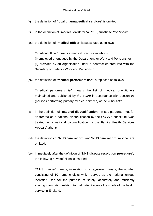- (y) the definition of "**local pharmaceutical services**" is omitted.
- (z) in the definition of "**medical card**" for "a PCT", substitute "*the Board*".
- (aa) the definition of "**medical officer**" is substituted as follows:

""medical officer" means a medical practitioner who is:

(i) employed or engaged by the Department for Work and Pensions, or (ii) provided by an organisation under a contract entered into with the Secretary of State for Work and Pensions;"

(bb) the definition of "**medical performers list**", is replaced as follows:

""medical performers list" means the list of medical practitioners maintained and published by *the Board* in accordance with section 91 (persons performing primary medical services) of the *2006 Act*;"

- (cc) in the definition of "**national disqualification**", in sub-paragraph (c), for "is treated as a national disqualification by the *FHSAA*" substitute "was treated as a national disqualification by the Family Health Services Appeal Authority;
- (dd) the definitions of "**NHS care record**" and "**NHS care record service**" are omitted.
- (ee) immediately after the definition of "**NHS dispute resolution procedure**", the following new definition is inserted:

""NHS number" means, in relation to a *registered patient*, the number consisting of 10 numeric digits which serves as the national unique identifier used for the purpose of safely, accurately and efficiently sharing information relating to that patient across the whole of the health service in England;"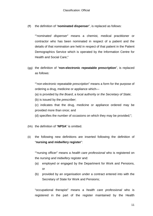(ff) the definition of "**nominated dispenser**", is replaced as follows:

""*nominated dispenser*" means a chemist, medical practitioner or contractor who has been nominated in respect of a patient and the details of that nomination are held in respect of that patient in the Patient Demographics Service which is operated by the Information Centre for Health and Social Care;"

(gg) the definition of "**non-electronic repeatable prescription**", is replaced as follows:

""*non-electronic repeatable prescription*" means a form for the purpose of ordering a drug, medicine or appliance which—

(a) is provided by *the Board*, a local authority or *the Secretary of State*;

(b) is issued by the *prescriber*;

(c) indicates that the drug, medicine or appliance ordered may be provided more than once; and

(d) specifies the number of occasions on which they may be provided;";

(hh) the definition of "**NPSA**" is omitted.

(ii) the following new definitions are inserted following the definition of "**nursing and midwifery register**":

""nursing officer" means a *health care professional* who is registered on the *nursing and midwifery register* and:

- (a) employed or engaged by the Department for Work and Pensions, or
- (b) provided by an organisation under a contract entered into with the Secretary of State for Work and Pensions;

"occupational therapist" means a *health care professional* who is registered in the part of the register maintained by the Health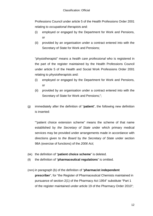Professions Council under article 5 of the Health Professions Order 2001 relating to *occupational therapist*s and:

- (i) employed or engaged by the Department for Work and Pensions, or
- (ii) provided by an organisation under a contract entered into with the Secretary of State for Work and Pensions;

"physiotherapist" means a *health care professional* who is registered in the part of the register maintained by the Health Professions Council under article 5 of the Health and Social Work Professions Order 2001 relating to *physiotherapist*s and:

- (i) employed or engaged by the Department for Work and Pensions, or
- (ii) provided by an organisation under a contract entered into with the Secretary of State for Work and Pensions;";
- (jj) immediately after the definition of "**patient**", the following new definition is inserted:

""patient choice extension scheme" means the scheme of that name established by *the Secretary of State* under which primary medical services may be provided under arrangements made in accordance with directions given to *the Board* by *the Secretary of State* under section 98A (exercise of functions) of the *2006 Act*;

- (kk) the definition of "**patient choice scheme**" is deleted.
- (ll) the definition of "**pharmaceutical regulations**" is omitted.

### (mm) in paragraph (b) of the definition of "**pharmacist independent**

**prescriber**", for "the Register of Pharmaceutical Chemists maintained in pursuance of section 2(1) of the Pharmacy Act 1954" substitute "Part 1 of the register maintained under article 19 of the Pharmacy Order 2010";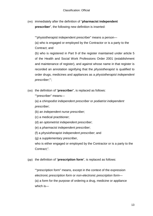(nn) immediately after the definition of "**pharmacist independent prescriber**", the following new definition is inserted:

""physiotherapist independent prescriber" means a person— (a) who is engaged or employed by the Contractor or is a party to the Contract; and

(b) who is registered in Part 9 of the register maintained under article 5 of the Health and Social Work Professions Order 2001 (establishment and maintenance of register), and against whose name in that register is recorded an annotation signifying that the *physiotherapist* is qualified to order drugs, medicines and appliances as a *physiotherapist independent prescriber*;"';

(oo) the definition of "**prescriber**", is replaced as follows:

""prescriber" means—

(a) a c*hiropodist independent prescriber* or *podiatrist independent prescriber*;

- (b) an *independent nurse prescriber*;
- (c) a medical practitioner;
- (d) an *optometrist independent prescriber*;
- (e) a *pharmacist independent prescriber*;
- (f) a *physiotherapist independent prescriber*; and

(g) a *supplementary prescriber*,

who is either engaged or employed by the Contractor or is a party to the Contract;".

(pp) the definition of "**prescription form**", is replaced as follows:

""prescription form" means, except in the context of the expression *electronic prescription form* or *non-electronic prescription form*— (a) a form for the purpose of ordering a drug, medicine or appliance which is—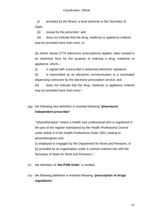(i) provided by *the Board*, a local authority or *the Secretary of State*;

(ii) issued by the *prescriber*: and

(iii) does not indicate that the drug, medicine or appliance ordered may be provided more than once; or

(b) where clause 277A (electronic prescriptions) applies, data created in an electronic form for the purpose of ordering a drug, medicine or appliance, which—

(i) is signed with a *prescriber's advanced electronic signature*;

(ii) is transmitted as an *electronic communication* to a nominated dispensing contractor by the *electronic prescription service*; and

(iii) does not indicate that the drug, medicine or appliance ordered may be provided more than once;";

(qq) the following new definition is inserted following "**pharmacist independent prescriber**":

""physiotherapist" means a *health care professional* who is registered in the part of the register maintained by the Health Professions Council under article 5 of the Health Professions Order 2001 relating to *physiotherapist*s and:

(i) employed or engaged by the Department for Work and Pensions, or (ii) provided by an organisation under a contract entered into with the Secretary of State for Work and Pensions.";

(rr) the definition of "**the POM Order**" is omitted;

(ss) the following definition is inserted following "**prescription of drugs regulations**":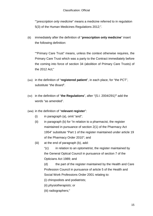""*prescription only medicine*" means a medicine referred to in regulation 5(3) of the Human Medicines Regulations 2012;".

(tt) immediately after the definition of "**prescription only medicine**" insert the following definition:

""Primary Care Trust" means, unless the context otherwise requires, the Primary Care Trust which was a party to the Contract immediately before the coming into force of section 34 (abolition of Primary Care Trusts) of the 2012 Act;"

- (uu) in the definition of "**registered patient**", in each place, for "the PCT", substitute "*the Board*".
- (vv) in the definition of "**the Regulations**", after "(S.I. 2004/291)**"** add the words "as amended".

### (ww) in the definition of "**relevant register**":

- $(i)$  in paragraph  $(a)$ , omit "and";
- (ii) in paragraph (b) for "in relation to a pharmacist, the register maintained in pursuance of section 2(1) of the Pharmacy Act 1954" substitute "Part 1 of the register maintained under article 19 of the Pharmacy Order 2010"; and
- (iii) at the end of paragraph (b), add:

"(c) in relation to an optometrist, the register maintained by the General Optical Council in pursuance of section 7 of the Opticians Act 1989; and

(d) the part of the register maintained by the Health and Care Profession Council in pursuance of article 5 of the Health and Social Work Professions Order 2001 relating to:

- (i) chiropodists and podiatrists;
- (ii) *physiotherapists*; or
- (iii) radiographers;"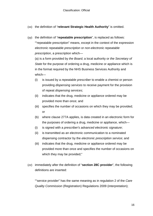- (xx) the definition of "**relevant Strategic Health Authority**" is omitted.
- (yy) the definition of "**repeatable prescription**", is replaced as follows: ""repeatable prescription" means, except in the context of the expression *electronic repeatable prescription* or *non-electronic repeatable prescription*, a prescription which—

(a) is a form provided by *the Board*, a local authority or *the Secretary of State* for the purpose of ordering a drug, medicine or appliance which is in the format required by the NHS Business Services Authority and which—

- (i) is issued by a *repeatable prescriber* to enable a chemist or person providing *dispensing services* to receive payment for the provision of repeat *dispensing services*;
- (ii) indicates that the drug, medicine or appliance ordered may be provided more than once; and
- (iii) specifies the number of occasions on which they may be provided; or
- (b) where clause 277A applies, is data created in an electronic form for the purposes of ordering a drug, medicine or appliance, which—
- (i) is signed with a *prescriber's advanced electronic signature*;
- (ii) is transmitted as an electronic communication to a nominated dispensing contractor by the *electronic prescription service*; and
- (iii) indicates that the drug, medicine or appliance ordered may be provided more than once and specifies the number of occasions on which they may be provided;"
- (zz) immediately after the definition of "**section 28C provider**", the following definitions are inserted:

""service provider" has the same meaning as in regulation 2 of the *Care Quality Commission* (Registration) Regulations 2009 (interpretation);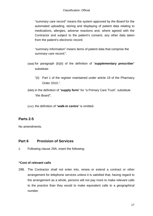"summary care record" means the system approved by *the Board* for the automated uploading, storing and displaying of patient data relating to medications, allergies, adverse reactions and, where agreed with the Contractor and subject to the patient's consent, any other data taken from the patient's electronic record;

"summary information" means items of patient data that comprise the *summary care record*;".

- (aaa) for paragraph (b)(ii) of the definition of "**supplementary prescriber**" substitute:
	- "(ii) Part 1 of the register maintained under article 19 of the Pharmacy Order 2010,".
- (bbb) in the definition of "**supply form**" for "a Primary Care Trust", substitute "*the Board*";

(ccc) the definition of "**walk-in centre**" is omitted.

## **Parts 2-5**

No amendments.

## **Part 6 Provision of Services**

2. Following clause 29A, insert the following:

### **"Cost of relevant calls**

29B. The Contractor shall not enter into, renew or extend a contract or other arrangement for telephone services unless it is satisfied that, having regard to the arrangement as a whole, persons will not pay more to make relevant calls to the *practice* than they would to make equivalent calls to a *geographical number*.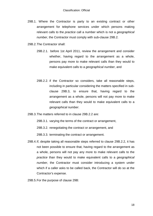29B.1. Where the Contractor is party to an existing contract or other arrangement for telephone services under which persons making relevant calls to the *practice* call a number which is not a *geographical number*, the Contractor must comply with sub-clause 29B.2.

29B.2.The Contractor shall:

- 29B.2.1. before 1st April 2011, review the arrangement and consider whether, having regard to the arrangement as a whole, persons pay more to make relevant calls than they would to make equivalent calls to a *geographical number*, and
- 29B.2.2. if the Contractor so considers, take all reasonable steps, including in particular considering the matters specified in subclause 29B.3, to ensure that, having regard to the arrangement as a whole, persons will not pay more to make relevant calls than they would to make equivalent calls to a *geographical number*.
- 29B.3.The matters referred to in clause 29B.2.2 are:

29B.3.1. varying the terms of the contract or arrangement,

29B.3.2. renegotiating the contract or arrangement, and

29B.3.3. terminating the contract or arrangement.

29B.4.If, despite taking all reasonable steps referred to clause 29B.2.2, it has not been possible to ensure that, having regard to the arrangement as a whole, persons will not pay any more to make relevant calls to the *practice* than they would to make equivalent calls to a *geographical number*, the Contractor must consider introducing a system under which if a caller asks to be called back, the Contractor will do so at the Contractor's expense.

29B.5.For the purpose of clause 29B: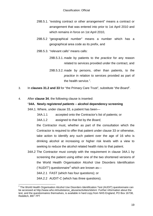- 29B.5.1. "existing contract or other arrangement" means a contract or arrangement that was entered into prior to 1st April 2010 and which remains in force on 1st April 2010,
- 29B.5.2 "geographical number" means a number which has a geographical area code as its prefix, and
- 29B.5.3. "relevant calls" means calls:
	- 29B.5.3.1. made by patients to the *practice* for any reason related to services provided under the contract, and
	- 29B.5.3.2. made by persons, other than patients, to the *practice* in relation to services provided as part of the health service.".
- 3. In **clauses 31.2 and 33** for "the Primary Care Trust", substitute "*the Board*".
- 4. After **clause 34**, the following clause is inserted:

#### "**34A. Newly** *registered patients* **– alcohol dependency screening**

34A.1. Where, under clause 33, a patient has been—

34A.1.1 accepted onto the Contractor's list of patients; or

34A.1.2 assigned to that list by *the Board*,

the Contractor must, whether as part of the consultation which the Contractor is required to offer that patient under clause 33 or otherwise, take action to identify any such patient over the age of 16 who is drinking alcohol at increasing or higher risk levels with a view to seeking to reduce the alcohol related health risks to that patient.

- 34A.2 The Contractor must comply with the requirement in clause 34A.1 by screening the patient using either one of the two shortened versions of the World Health Organisation Alcohol Use Disorders Identification ("AUDIT") questionnaire<sup>[2](#page-8-0)</sup> which are known as-34A.2.1 FAST (which has four questions); or
	- 34A.2.2 AUDIT-C (which has three questions).

<span id="page-18-0"></span><sup>&</sup>lt;sup>2</sup> The World Health Organisation Alcohol Use Disorders Identification Test (AUDIT) questionnaire can be accessed at http://www.who.int/substance\_abuse/activities/sbi/en/. Further information about the test, and the questionnaires themselves, is available in hard copy from NHS England, PO Box 16738, Redditch, B97 7PT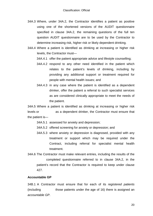- 34A.3 Where, under 34A.2, the Contractor identifies a patient as positive using one of the shortened versions of the AUDIT questionnaire specified in clause 34A.2, the remaining questions of the full ten question AUDIT questionnaire are to be used by the Contractor to determine increasing risk, higher risk or likely dependent drinking.
- 34A.4 Where a patient is identified as drinking at increasing or higher risk levels, the Contractor must—

34A.4.1 offer the patient appropriate advice and lifestyle counselling;

- 34A.4.2 respond to any other need identified in the patient which relates to the patient's levels of drinking, including by providing any additional support or treatment required for people with mental health issues; and
- 34A.4.3 in any case where the patient is identified as a dependent drinker, offer the patient a referral to such specialist services as are considered clinically appropriate to meet the needs of the patient.

34A.5 Where a patient is identified as drinking at increasing or higher risk levels or as a dependent drinker, the Contractor must ensure that the patient is—

- 34A.5.1 assessed for anxiety and depression;
- 34A.5.2 offered screening for anxiety or depression; and
- 34A.5.3 where anxiety or depression is diagnosed, provided with any treatment or support which may be required under the Contract, including referral for specialist mental health treatment.
- 34A.6 The Contractor must make relevant entries, including the results of the completed questionnaire referred to in clause 34A.2, in the patient's record that the Contractor is required to keep under clause 427.

#### **Accountable GP**

34B.1 A Contractor must ensure that for each of its *registered patients* (including those patients under the age of 16) there is assigned an *accountable GP*.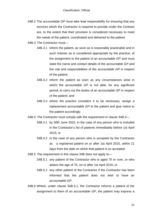- 34B.2 The *accountable GP* must take lead responsibility for ensuring that any services which the Contractor is required to provide under the Contract are, to the extent that their provision is considered necessary to meet the needs of the patient, coordinated and delivered to the patient.
- 34B.3 The Contractor must—
	- 34B.3.1 inform the patient, as soon as is reasonably practicable and in such manner as is considered appropriate by the *practice*, of the assignment to the patient of an *accountable GP* and must state the name and contact details of the *accountable GP* and the role and responsibilities of the *accountable GP* in respect of the patient;
	- 34B.3.2 inform the patient as soon as any circumstances arise in which the *accountable GP* is not able, for any significant period, to carry out the duties of an *accountable GP* in respect of the patient; and
	- 34B.3.3 where the *practice* considers it to be necessary, assign a replacement *accountable GP to* the patient and give notice to the patient accordingly.
- 34B.4 The Contractor must comply with the requirement in clause 34B.3—
	- 34B.4.1 by 30th June 2015, in the case of any person who is included in the Contractor's *list of patients* immediately before 1st April 2015; or
	- 34B.4.2 in the case of any person who is accepted by the Contractor as a *registered patient* on or after 1st April 2015, within 21 days from the date on which that patient is so accepted.
- 34B.5 The requirement in this clause 34B does not apply to—
	- 34B.5.1 any patient of the Contractor who is aged 75 or over, or who attains the age of 75, on or after 1st April 2015; or
	- 34B.5.2 any other patient of the Contractor if the Contractor has been informed that the patient does not wish to have an *accountable GP*.
- 34B.6 Where, under clause 34B.3.1, the Contractor informs a patient of the assignment to them of an *accountable GP*, the patient may express a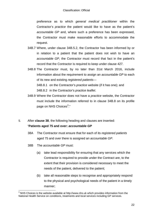preference as to which *general medical practitioner* within the Contractor's *practice* the patient would like to have as the patient's *accountable GP* and, where such a preference has been expressed, the Contractor must make reasonable efforts to accommodate the request.

- 34B.7 Where, under clause 34B.5.2, the Contractor has been informed by or in relation to a patient that the patient does not wish to have an *accountable GP*, the Contractor must record that fact in the patient's record that the Contractor is required to keep under clause 427.
- 34B.8 The Contractor must, by no later than 31st March 2016, include information about the requirement to assign an *accountable GP* to each of its new and existing *registered patients*—

34B.8.1 on the Contractor's *practice* website (if it has one); and 34B.8.2 in the Contractor's *practice leaflet*.

- 34B.9 Where the Contractor does not have a *practice* website, the Contractor must include the information referred to in clause 34B.8 on its profile page on NHS Choices<sup>[3](#page-18-0)</sup>."
- 5. After **clause 38**, the following heading and clauses are inserted: "**Patients aged 75 and over:** *accountable GP*
	- 38A The Contractor must ensure that for each of its *registered patients* aged 75 and over there is assigned an *accountable GP*.
	- 38B The *accountable GP* must:
		- (a) take lead responsibility for ensuring that any services which the Contractor is required to provide under the Contract are, to the extent that their provision is considered necessary to meet the needs of the patient, delivered to the patient;
		- (b) take all reasonable steps to recognise and appropriately respond to the physical and psychological needs of the patient in a timely manner;

<span id="page-21-0"></span> $3$  NHS Choices is the website available at http://www.nhs.uk which provides information from the National Health Service on conditions, treatments and local services including GP services.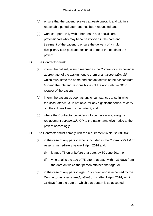- (c) ensure that the patient receives a *health check* if, and within a reasonable period after, one has been requested; and
- (d) work co-operatively with other health and social care professionals who may become involved in the care and treatment of the patient to ensure the delivery of a multidisciplinary care package designed to meet the needs of the patient.
- 38C The Contractor must:
	- (a) inform the patient, in such manner as the Contractor may consider appropriate, of the assignment to them of an *accountable GP* which must state the name and contact details of the *accountable GP* and the role and responsibilities of the *accountable GP* in respect of the patient;
	- (b) inform the patient as soon as any circumstances arise in which the *accountable GP* is not able, for any significant period, to carry out their duties towards the patient; and
	- (c) where the Contractor considers it to be necessary, assign a replacement *accountable GP* to the patient and give notice to the patient accordingly.
- 38D The Contractor must comply with the requirement in clause 38C(a):
	- (a) in the case of any person who is included in the *Contractor's list of patients* immediately before 1 April 2014 and:
		- (i) is aged 75 on or before that date, by 30 June 2014; or
		- (ii) who attains the age of 75 after that date, within 21 days from the date on which that person attained that age; or
	- (b) in the case of any person aged 75 or over who is accepted by the Contractor as a *registered patient* on or after 1 April 2014, within 21 days from the date on which that person is so accepted.".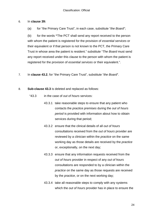#### 6. In **clause 39:**

(a) for "the Primary Care Trust", in each case, substitute "*the Board*";

(b) for the words **"**The PCT shall send any report received to the person with whom the patient is registered for the provision of *essential services* or their equivalent or if that person is not known to the PCT, the Primary Care Trust in whose area the patient is resident." substitute "*The Board* must send any report received under this clause to the person with whom the patient is registered for the provision of *essential services* or their equivalent.".

- 7. In **clause 43.2**, for "the Primary Care Trust", substitute "*the Board*".
- 8. **Sub-clause 43.3** is deleted and replaced as follows:
	- "43.3 in the case of *out of hours* services:
		- 43.3.1 take reasonable steps to ensure that any patient who contacts the *practice premises* during the *out of hours period* is provided with information about how to obtain services during that period;
		- 43.3.2 ensure that the clinical details of all *out of hours* consultations received from the *out of hours* provider are reviewed by a clinician within the *practice* on the same working day as those details are received by the *practice* or, exceptionally, on the next day;
		- 43.3.3 ensure that any information requests received from the *out of hours* provider in respect of any *out of hours* consultations are responded to by a clinician within the *practice* on the same day as those requests are received by the *practice*, or on the next working day;
		- 43.3.4 take all reasonable steps to comply with any systems which the *out of hours* provider has in place to ensure the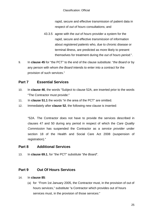rapid, secure and effective transmission of patient data in respect of *out of hours* consultations; and

- 43.3.5 agree with the *out of hours* provider a system for the rapid, secure and effective *transmission* of information about *registered patients* who, due to chronic disease or terminal illness, are predicted as more likely to present themselves for treatment during the *out of hours period.*".
- 9. In **clause 45** for "the PCT" to the end of the clause substitute: "*the Board* or by any person with whom *the Board* intends to enter into a contract for the provision of such services."

## **Part 7 Essential Services**

- 10. In **clause 46**, the words "Subject to clause 52A, are inserted prior to the words "The Contractor must provide:"
- 11. In **clause 51.1** the words "in the area of the PCT" are omitted.
- 12. Immediately after **clause 52**, the following new clause is inserted:

"52A. The Contractor does not have to provide the services described in clauses 47 and 50 during any period in respect of which the *Care Quality Commission* has suspended the Contractor as a *service provider* under section 18 of the Health and Social Care Act 2008 (suspension of registration)."

### **Part 8 Additional Services**

13. In **clause 69.1**, for "the PCT" substitute "*the Board*".

## **Part 9 Out Of Hours Services**

- 14. In **clause 85**:
	- (a) for "From 1st January 2005, the Contractor must, in the provision of out of hours services," substitute "a Contractor which provides out of hours services must, in the provision of those services:"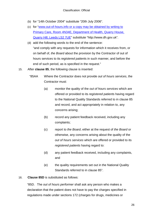- (b) for "14th October 2004" substitute "20th July 2006".
- (c) for "www.out-of-hours.info or a copy may be obtained by writing to Primary Care, Room 4N34E, Department of Health, Quarry House, Quarry Hill, Leeds LS2 7UE" substitute "http://www.dh.gov.uk".
- (d) add the following words to the end of the sentence: "and comply with any requests for information which it receives from, or on behalf of, *the Board* about the provision by the Contractor of out of hours services to its *registered patient*s in such manner, and before the end of such period, as is specified in the request."
- 15. After **clause 85**, the following clause is inserted:
	- "85AA Where the Contractor does not provide *out of hours services*, the Contractor must:
		- (a) monitor the quality of the *out of hours services* which are offered or provided to its *registered patient*s having regard to the National Quality Standards referred to in clause 85 and record, and act appropriately in relation to, any concerns arising;
		- (b) record any patient feedback received, including any complaints;
		- (c) report to *the Board*, either at the request of *the Board* or otherwise, any concerns arising about the quality of the *out of hours services* which are offered or provided to its *registered patients* having regard to:
		- (d) any patient feedback received, including any complaints, and
		- (e) the quality requirements set out in the National Quality Standards referred to in clause 85".
- 16. **Clause 85D** is substituted as follows:

"85D. The *out of hours performer* shall ask any person who makes a declaration that the patient does not have to pay the charges specified in regulations made under sections 172 (charges for drugs, medicines or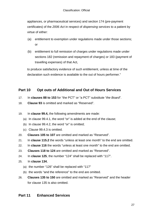appliances, or pharmaceutical services) and section 174 (pre-payment certificates) of the *2006 Act* in respect of *dispensing services* to a patient by virtue of either:

- (a) entitlement to exemption under regulations made under those sections; or
- (b) entitlement to full remission of charges under regulations made under sections 182 (remission and repayment of charges) or 183 (payment of travelling expenses) of that Act,

to produce satisfactory evidence of such entitlement, unless at time of the declaration such evidence is available to the out of hours performer."

## **Part 10 Opt outs of Additional and Out of Hours Services**

- 17. In **clauses 88 to 153** for "the PCT" or "a PCT" substitute "*the Board*".
- 18. **Clause 93** is omitted and marked as "Reserved".
- 19. In **clause 99.4,** the following amendments are made:
	- (a) In clause 99.4.1, the word "or" is added at the end of the clause;
	- (b) In clause 99.4.2, the word "or" is omitted;
	- (c) Clause 99.4.3 is omitted.
- 20. **Clauses 105 to 107** are omitted and marked as "Reserved".
- 21. In **clause 115.2** the words "unless at least one month" to the end are omitted.
- 22. In **clause 116** the words "unless at least one month" to the end are omitted.
- 23. **Clauses 118 to 124** are omitted and marked as "Reserved".
- 24. In **clause 125**, the number "124" shall be replaced with "117".
- 25. In **clause 134**,
	- (a) the number "126" shall be replaced with "117"
	- (b) the words "and the reference" to the end are omitted.
- 26. **Clauses 135 to 150** are omitted and marked as "Reserved" and the header for clause 135 is also omitted.

## **Part 11 Enhanced Services**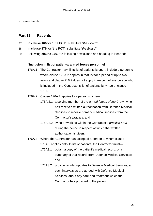No amendments.

### **Part 12 Patients**

- 27. In **clause 166** for "The PCT", substitute "*the Board*".
- 28. In **clause 175** for "the PCT", substitute "*the Board*".
- 29. Following **clause 176**, the following new clause and heading is inserted:

#### **"Inclusion in list of patients: armed forces personnel**

- 176A.1 The Contractor may, if its list of patients is open, include a person to whom clause 176A.2 applies in that list for a period of up to two years and clause 216.2 does not apply in respect of any person who is included in the Contractor's list of patients by virtue of clause 176A.
- 176A.2 Clause 176A.2 applies to a person who is—
	- 176A.2.1 a serving member of the *armed forces of the Crown* who has received written authorisation from Defence Medical Services to receive primary medical services from the Contractor's *practice*; and
	- 176A.2.2 living or working within the Contractor's *practice area* during the period in respect of which that written authorisation is given.
- 176A.3 Where the Contractor has accepted a person to whom clause 176A.2 applies onto its list of patients, the Contractor must—
	- 176A3.1 obtain a copy of the patient's medical record, or a summary of that record, from Defence Medical Services; and
	- 176A3.2 provide regular updates to Defence Medical Services, at such intervals as are agreed with Defence Medical Services, about any care and treatment which the Contractor has provided to the patient.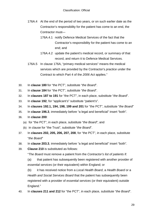- 176A.4 At the end of the period of two years, or on such earlier date as the Contractor's responsibility for the patient has come to an end, the Contractor must—
	- 176A.4.1 notify Defence Medical Services of the fact that the Contractor's responsibility for the patient has come to an end; and
	- 176A.4.2 update the patient's medical record, or summary of that record, and return it to Defence Medical Services.
- 176A.5 In clause 176A, "primary medical services" means the medical services which are provided by the Contractor's *practice* under the Contract to which Part 4 of the *2006 Act* applies."
- 30. In **clause 180** for "the PCT", substitute "*the Board*".
- 31. In **clause 184** for "the PCT", substitute "*the Board*".
- 32. In **clauses 187 to 191** for "the PCT", in each place, substitute "*the Board*".
- 33. In **clause 192**, for "applicant's" substitute "patient's".
- 34. In **clauses 192.1, 194, 198, 199 and 201** for "the PCT", substitute "*the Board*"
- 35. In **clause 196.3**, immediately before "a legal and beneficial" insert "both".
- 36. In **clause 200**:
	- (a) for "the PCT", in each place, substitute "*the Board*"; and
	- (b) in clause for "the Trust", substitute "*the Board*".
- 37. In **clauses 202, 205, 206, 207, 208**, for "the PCT", in each place, substitute "*the Board*"
- 38. In **clause 203.3**, immediately before "a legal and beneficial" insert "both".
- 39. **Clause 210** is substituted as follows:
	- "*The Board* must remove a patient from the *Contractor's list of patients* if:
	- (a) that patient has subsequently been registered with another provider of *essential services* (or their equivalent) within England; or

(b) it has received notice from a *Local Health Board*, a *Health Board* or a *Health and Social Services Board* that the patient has subsequently been registered with a provider of *essential services* (or their equivalent) outside England."

40. In **clauses 211 and 212** for "the PCT", in each place, substitute "*the Board*".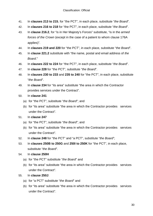- 41. In **clauses 213 to 215**, for "the PCT", in each place, substitute "*the Board*".
- 42. In **clauses 216 to 218** for "the PCT", in each place, substitute "*the Board*".
- 43. In **clause 216.2**, for "is in Her Majesty's Forces" substitute, "is in the *armed forces of the Crown* (except in the case of a patient to whom clause 176A applies)".
- 44. In **clauses 219 and 220** for "the PCT", in each place, substitute "*the Board*".
- 45. In **clause 221.2** substitute with "the name, postal and email address of *the Board*."
- 46. In **clauses 222 to 224** for "the PCT", in each place, substitute "*the Board*".
- 47. In **clause 228** for "the PCT", substitute "*the Board*".
- 48. In **clauses 230 to 233** and **235 to 240** for "the PCT", in each place, substitute "*the Board*".
- 49. In **clause 234** for "its area" substitute "the area in which the Contractor provides services under the Contract".
- 50. In **clause 241**
	- (a) for "the PCT", substitute "*the Board*"; and
	- (b) for "its area" substitute "the area in which the Contractor provides services under the Contract".
- 51. In **clause 247**
	- (a) for "the PCT", substitute "*the Board*"; and
	- (b) for "its area" substitute "the area in which the Contractor provides services under the Contract".
- 52. In **clause 248** for "the PCT" and "a PCT", substitute "*the Board*";
- 53. In **clauses 250B to 250G** and **250I to 250K** for "the PCT", in each place, substitute "*the Board*".

### 54. In **clause 250H**

- (a) for "the PCT" substitute "*the Board*" and
- (b) for "its area" substitute "the area in which the Contractor provides services under the Contract".

### 55. In **clause 250J**:

- (a) for "a PCT" substitute "*the Board*" and
- (b) for "its area" substitute "the area in which the Contractor provides services under the Contract".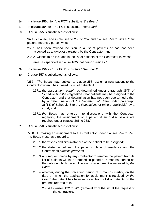- 56. In **clause 250L**, for "the PCT" substitute "*the Board*".
- 57. In **clause 254** for "The PCT" substitute "*The Board*".
- 58. **Clause 255** is substituted as follows:

"In this clause, and in clauses to 256 to 257 and clauses 259 to 268 a "new patient" means a person who:

- 255.1 has been refused inclusion in a list of patients or has not been accepted as a *temporary resident* by the Contractor; and
- 255.2 wishes to be included in the list of patients of the Contractor in whose

area (as specified in clause 162) that person resides."

- 59. In **clause 256** for "The PCT" substitute "*The Board*".
- 60. **Clause 257** is substituted as follows:

"257. *The Board* may, subject to clause 258**,** assign a new patient to the Contractor when it has closed its list of patients if:

- 257.1 the *assessment panel* has determined under paragraph 35(7) of Schedule 6 to *the Regulations* that patients may be assigned to the Contractor, and that determination has not been overturned either by a determination of *the Secretary of State* under paragraph 36(13) of Schedule 6 to *the Regulations* or (where applicable) by a court; and
- 257.2 *the Board* has entered into discussions with the Contractor regarding the assignment of a patient if such discussions are required under clauses 266 to 268."
- 61. **Clause 258** is substituted as follows:

"258. In making an assignment to the Contractor under clauses 254 to 257, *the Board* must have regard to-

- 258.1 the wishes and circumstances of the patient to be assigned;
- 258.2 the distance between the patient's place of residence and the Contractor's *practice premises*;
- 258.3 any request made by any Contractor to remove the patient from its list of patients within the preceding period of 6 months starting on the date on which the application for assignment is received by *the Board*;
- 258.4 whether, during the preceding period of 6 months starting on the date on which the application for assignment is received by *the Board*, the patient has been removed from a list of patients on the grounds referred to in-
	- 258.4.1 clauses 192 to 201 (removal from the list at the request of the contractor),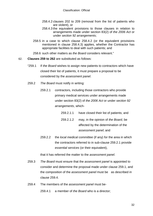- 258.4.2 clauses 202 to 209 (removal from the list of patients who are violent), or
- 258.4.3 the equivalent provisions to those clauses in relation to arrangements made under section 83(2) of *the 2006 Act* or under *section 92 arrangements*;
- 258.5 in a case to which clause 258.4.2 (or the equivalent provisions mentioned in clause 258.4.3) applies, whether the Contractor has appropriate facilities to deal with such patients; and

258.6 such other matters as *the Board* considers relevant."

#### 62. **Clauses 259 to 262** are substituted as follows:

- "259.1 If *the Board* wishes to assign new patients to contractors which have closed their list of patients, it must prepare a proposal to be considered by the *assessment panel*.
- 259.2 *The Board* must notify in writing:
	- 259.2.1 contractors, including those contractors who provide primary medical services under arrangements made under section 83(2) of *the 2006 Act* or under *section 92 arrangements*, which-

| 259.2.1.1 | have closed their list of patients; and |
|-----------|-----------------------------------------|
| 259.2.1.2 | may, in the opinion of the Board, be    |
|           | affected by the determination of the    |
|           | assessment panel; and                   |

259.2.2 the *local medical committee* (if any) for the area in which the contractors referred to in sub-clause 259.2.1 provide *essential services* (or their equivalent),

that it has referred the matter to the *assessment panel*.

- 259.3 *The Board* must ensure that the *assessment panel* is appointed to consider and determine the proposal made under clause 259.1, and the composition of the *assessment panel* must be as described in clause 259.4.
- 259.4 The members of the *assessment panel* must be-

259.4.1 a member of *the Board* who is a director;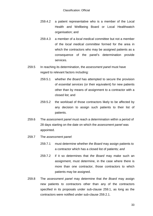- 259.4.2 a patient representative who is a member of the Local Health and Wellbeing Board or Local Healthwatch organisation; and
- 259.4.3 a member of a *local medical committee* but not a member of the *local medical committee* formed for the area in which the contractors who may be assigned patients as a consequence of the panel's determination provide services.
- 259.5 In reaching its determination, the *assessment panel* must have regard to relevant factors including:
	- 259.5.1 whether *the Board* has attempted to secure the provision of *essential services* (or their equivalent) for new patients other than by means of assignment to a contractor with a closed list; and
	- 259.5.2 the workload of those contractors likely to be affected by any decision to assign such patients to their list of patients.
- 259.6 The *assessment panel* must reach a determination within a period of 28 days starting on the date on which the *assessment panel* was appointed.
- 259.7 The *assessment panel*:
	- 259.7.1 must determine whether *the Board* may assign patients to a contractor which has a closed list of patients*; and*
	- 259.7.2 if it so determines that *the Board* may make such an assignment, must determine, in the case where there is more than one contractor, those contractors to which patients may be assigned.
- 259.8 The *assessment panel* may determine that *the Board* may assign new patients to contractors other than any of the contractors specified in its proposals under sub-clause 259.1, as long as the contractors were notified under sub-clause 259.2.1.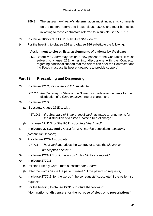- 259.9 The *assessment panel*'s determination must include its comments on the matters referred to in sub-clause 259.5, and must be notified in writing to those contractors referred to in sub-clause 259.2.1."
- 63. In **clause 263** for "the PCT", substitute "*the Board*".
- 64. For the heading to **clause 266 and clause 266** substitute the following:

#### **"Assignment to closed lists: assignments of patients by** *the Board*

266. Before *the Board* may assign a new patient to the Contractor, it must, subject to clause 268, enter into discussions with the Contractor regarding additional support that *the Board* can offer the Contractor and *the Board* must use its best endeavours to provide support."

## **Part 13 Prescribing and Dispensing**

- 65. In **clause 271C**, for clause 271C.1 substitute:
	- "271C.1 *the Secretary of State* or *the Board* has made arrangements for the distribution of a *listed medicine* free of charge; and"

#### 66. In **clause 271D:**

- (a) Substitute clause 271D.1 with:
	- "271D.1 *the Secretary of State* or *the Board* has made arrangements for the distribution of a *listed medicine* free of charge."
- (b) In clause 271D.3 for "the PCT", substitute "*the Board*".
- 67. In **clauses 276.3.2 and 277.3.2** for "*ETP service*", substitute "*electronic prescription service*";
- 68. For **clause 277A.1** substitute:
	- "277A.1 *The Board* authorises the Contractor to use the *electronic prescription service*;"
- 69. In **clause 277A.2.1** omit the words "in his *NHS care record*;"
- 70. In **clause 277C.1**:
	- (a) for "the Primary Care Trust" substitute "*the Board*".
	- (b) after the words "issue the patient" insert ", if the patient so requests,".
- 71. In **clause 277C.2**, for the words "if he so requests" substitute "if the patient so requests".
- 72. For the heading to **clause 277D** substitute the following: "**Nomination of dispensers for the purpose of electronic prescriptions**".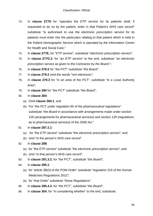- 73. In **clause 277D** for "operates the *ETP service* for its patients shall, if requested to do so by the patient, enter in that Patient's *NHS care record*" substitute "is authorised to use the *electronic prescription service* for its patients must enter into the particulars relating to that patient which is held in the Patient Demographic Service which is operated by the Information Centre for Health and Social Care,"
- 74. In **clause 277E,** for "*ETP service*", substitute "*electronic prescription service*";
- 75. In **clause 277G.2**, for "an *ETP service*" to the end, substitute "an *electronic prescription service* as given to the Contractor by *the Board*.";
- 76. In **clause 278.2** for "the PCT" substitute "*the Board*";
- 77. In **clause 279.2** omit the words "non-electronic";
- 78. In **clause 279.3** for "in an area of the PCT", substitute "in a Local Authority Area";
- 79. In **clause 280** for "the PCT" substitute "*the Board*";
- 80. In **clause 284**:
	- (a) Omit **clause 284.1**; and
	- (b) For "the PCT under regulation 60 of the *pharmaceutical regulations*" substitute "*the Board* in accordance with arrangements made under section 126 (arrangements for pharmaceutical services) and section 129 (regulations as to pharmaceutical services) of the *2006 Act*."
- 81. In **clause 287.2.1**:
	- (a) for "the *ETP service*" substitute "the *electronic prescription service*"; and
	- (b) omit "in the person's *NHS care record*".
- 82. In **clause 288**:
	- (a) for "the *ETP service*" substitute "the *electronic prescription service*"; and
	- (b) omit "in that person's *NHS care record*".
- 83. In **clause 291.3.2**, for "the PCT", substitute "*the Board*";
- 84. In **clause 295.1**:
	- (a) for "article 3B(3) of *the POM Order*" substitute "regulation 215 of the Human Medicines Regulations 2012";
	- (b) for "that Order" substitute "those Regulations".
- 85. In **clause 295.4.3**, for "the PCT", substitute "*the Board*";
- 86. In **clause 304**, for "In considering whether" to the end, substitute: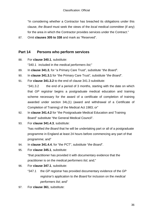"In considering whether a Contractor has breached its obligations under this clause, *the Board* must seek the views of the *local medical committee* (if any) for the area in which the Contractor provides services under the Contract."

87. Omit **clauses 305 to 338** and mark as "Reserved".

## **Part 14 Persons who perform services**

88. For **clause 340.1**, substitute:

"340.1 included in the *medical performers list*;"

- 89. In **clause 341.3**, for "a Primary Care Trust", substitute "*the Board*".
- 90. In **clause 341.3.1** for "the Primary Care Trust", substitute "*the Board*".
- 91. For **clause 341.3.2** to the end of clause 341.3 substitute:

"341.3.2 the end of a period of 3 months, starting with the date on which that *GP registrar* begins a postgraduate medical education and training scheme necessary for the award of a certificate of completion of training awarded under section 34L(1) (award and withdrawal of a Certificate of Completion of Training) of the Medical Act 1983; or"

- 92. In **clause 341.4.2** for "the Postgraduate Medical Education and Training Board" substitute "the General Medical Council".
- 93. For **clause 341.4.3**, substitute:

"has notified *the Board* that he will be undertaking part or all of a postgraduate programme in England at least 24 hours before commencing any part of that programme; and"

- 94. In **clause 341.4.4**, for "the PCT", substitute "*the Board*".
- 95. For **clause 345.1**, substitute:

"that practitioner has provided it with documentary evidence that the practitioner is on the *medical performers list*; and;"

- 96. For **clause 347.1**, substitute:
	- "347.1 the *GP registrar* has provided documentary evidence of the *GP registrar's* application to *the Board* for inclusion on the *medical performers list*; and"
- 97. For **clause 361**, substitute: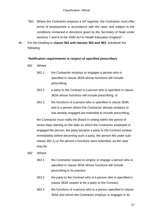- "361. Where the Contractor employs a *GP registrar*, the Contractor must offer terms of employment in accordance with the rates and subject to the conditions contained in directions given by *the Secretary of State* under sections 7 and 8 of *the 2006 Act* to Health Education England."
- 98. For the heading to **clause 362 and clauses 362 and 363**, substitute the following:

#### "**Notification requirements in respect of specified** *prescriber***s**

- 362 Where:
	- 362.1 the Contractor employs or engages a person who is specified in clause 363A whose functions will include prescribing;
	- 362.2 a party to the Contract is a person who is specified in clause 363A whose functions will include prescribing; or
	- 362.3 the functions of a person who is specified in clause 363A and is a person whom the Contractor already employs or has already engaged are extended to include prescribing,

the Contractor must notify *the Board* in writing within the period of seven days starting on the date on which the Contractor employed or engaged the person, the party became a party to the Contract (unless immediately before becoming such a party, the person fell under subclause 362.1) or the person's functions were extended, as the case may be.

- 363 Where:
	- 363.1 the Contractor ceases to employ or engage a person who is specified in clause 363A whose functions will include prescribing in its *practice*;
	- 363.2 the party to the Contract who is a person who is specified in clause 363A ceases to be a party to the Contract;
	- 363.3 the functions of a person who is a person specified in clause 363A and whom the Contractor employs or engages in its

37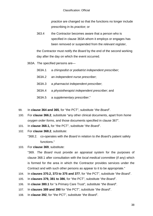*practice* are changed so that the functions no longer include prescribing in its *practice*; or

363.4 the Contractor becomes aware that a person who is specified in clause 363A whom it employs or engages has been removed or suspended from the *relevant register*,

the Contractor must notify *the Board* by the end of the second working day after the day on which the event occurred.

363A. The specified persons are—

| 363A.1 | a chiropodist or podiatrist independent prescriber, |  |
|--------|-----------------------------------------------------|--|
|--------|-----------------------------------------------------|--|

- 363A.2 an *independent nurse prescriber*;
- 363A.3 a *pharmacist independent prescriber*;
- 363A.4 a *physiotherapist independent prescriber*; and
- 363A.5 a *supplementary prescriber*."
- 99. In **clause 364 and 365**, for "the PCT", substitute "*the Board*".
- 100. For **clause 366.2**, substitute "any other clinical documents, apart from *home oxygen order forms*, and those documents specified in clause 367".
- 101. In **clause 368.1,** for "the PCT", substitute "*the Board*".
- 102. For **clause 368.2**, substitute:

"368.2. co-operates with *the Board* in relation to *the Board*'s patient safety functions."

103. For **clause 369**, substitute:

"369. *The Board* must provide an appraisal system for the purposes of clause 368.1 after consultation with the *local medical committee* (if any) which is formed for the area in which the Contractor provides services under the Contract and with such other persons as appear to it to be appropriate."

- 104. In **clauses 370.2, 373 to 375 and 377**, for "the PCT", substitute "*the Board*".
- 105. In **clauses 379, 381 to 386**, for "the PCT", substitute "*the Board*".
- 106. In **clause 380.1** for "a Primary Care Trust", substitute "*the Board*".
- 107. In **clauses 389 and 390** for "the PCT", substitute "*the Board*".
- 108. In **clause 392**, for "the PCT", substitute "*the Board*".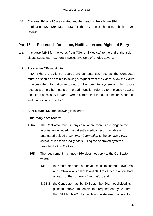- 109. **Clauses 394 to 425** are omitted and the **heading for clause 394**.
- 110. In **clauses 427, 429, 431 to 433**, for "the PCT", in each place, substitute "*the Board*".

### **Part 15 Records, Information, Notification and Rights of Entry**

- 111. In **clause 429.1** for the words from ""General Medical" to the end of that subclause substitute ""General Practice Systems of Choice Level 2;"".
- 112. For **clause 430** substitute:

"430. Where a patient's records are computerised records, the Contractor must, as soon as possible following a request from *the Board*, allow *the Board* to access the information recorded on the computer system on which those records are held by means of the audit function referred to in clause 429.2 to the extent necessary for *the Board* to confirm that the audit function is enabled and functioning correctly."

113. After **clause 436**, the following is inserted:

### **"***summary care record*

- 436A The Contractor must, in any case where there is a change to the information included in a patient's medical record, enable an automated upload of *summary information* to the *summary care record*, at least on a daily basis, using the approved systems provided to it by *the Board*.
- 436B The requirement in clause 436A does not apply to the Contractor where:
	- 436B.1 the Contractor does not have access to computer systems and software which would enable it to carry out automated uploads of the *summary information*; and
	- 436B.2 the Contractor has, by 30 September 2014, publicised its plans to enable it to achieve that requirement by no later than 31 March 2015 by displaying a statement of intent at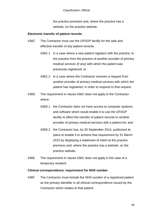the *practice premises* and, where the practice has a website, on the practice website.

#### **Electronic transfer of patient records**

- 436C The Contractor must use the *GP2GP facility* for the safe and effective transfer of any patient records:
	- 436C.1 in a case where a new patient registers with the *practice*, to the practice from the practice of another provider of primary medical services (if any) with which the patient was previously registered; or
	- 436C.2 in a case where the Contractor receives a request from another provider of primary medical services with which the patient has registered, in order to respond to that request.
- 436D The requirement in clause 436C does not apply to the Contractor where:
	- 436D.1 the Contractor does not have access to computer systems and software which would enable it to use the *GP2GP facility* to effect the transfer of patient records to another provider of primary medical services with a patient list; and
	- 436D.2 the Contractor has, by 30 September 2014, publicised its plans to enable it to achieve that requirement by 31 March 2015 by displaying a statement of intent at the *practice premises* and, where the practice has a website, on the practice website.
- 436E The requirement in clause 436C does not apply in the case of a temporary resident.

#### **Clinical correspondence: requirement for** *NHS number*

436F The Contractor must include the *NHS number* of a *registered patient* as the primary identifier in all *clinical correspondence* issued by the Contractor which relates to that patient.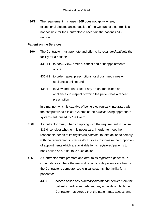436G The requirement in clause 436F does not apply where, in exceptional circumstances outside of the Contractor's control, it is not possible for the Contractor to ascertain the patient's *NHS number*.

#### **Patient online Services**

- 436H The Contractor must promote and offer to its *registered patients* the facility for a patient:
	- 436H.1 to book, view, amend, cancel and print appointments online;
	- 436H.2 to order repeat prescriptions for drugs, medicines or appliances online; and
	- 436H.3 to view and print a list of any drugs, medicines or appliances in respect of which the patient has a repeat prescription

in a manner which is capable of being electronically integrated with the computerised clinical systems of the *practice* using appropriate systems authorised by *the Board*.

- 436I A Contractor must, when complying with the requirement in clause 436H, consider whether it is necessary, in order to meet the reasonable needs of its *registered patient*s, to take action to comply with the requirement in clause 436H so as to increase the proportion of appointments which are available for its *registered patient*s to book online and, if so, take such action.
- 436J A Contractor must promote and offer to its *registered patients*, in circumstances where the medical records of its patients are held on the Contractor's computerised clinical systems, the facility for a patient to:
	- 436J.1 access online any *summary information* derived from the patient's medical records and any other data which the Contractor has agreed that the patient may access; and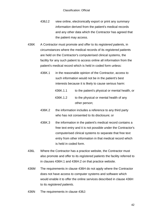- 436J.2 view online, electronically export or print any *summary information* derived from the patient's medical records and any other data which the Contractor has agreed that the patient may access.
- 436K A Contractor must promote and offer to its *registered patient*s, in circumstances where the medical records of its *registered patient*s are held on the Contractor's computerised clinical systems, the facility for any such patient to access online all information from the patient's medical record which is held in coded form unless:
	- 436K.1 in the reasonable opinion of the Contractor, access to such information would not be in the patient's best interests because it is likely to cause serious harm:
		- 436K.1.1 to the patient's physical or mental health, or
		- 436K.1.2 to the physical or mental health of any other person;
	- 436K.2 the information includes a reference to any third party who has not consented to its disclosure; or
	- 436K.3 the information in the patient's medical record contains a free text entry and it is not possible under the Contractor's computerised clinical systems to separate that free text entry from other information in that medical record which is held in coded form.
- 436L Where the Contractor has a practice website, the Contractor must also promote and offer to its *registered patients* the facility referred to in clauses 436H.1 and 436H.2 on that practice website.
- 436M The requirements in clause 436H do not apply where the Contractor does not have access to computer systems and software which would enable it to offer the online services described in clause 436H to its *registered patients*.
- 436N The requirements in clause 436J: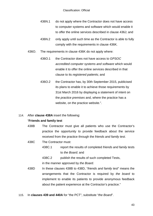- 436N.1 do not apply where the Contractor does not have access to computer systems and software which would enable it to offer the online services described in clause 436J; and
- 436N.2 only apply until such time as the Contractor is able to fully comply with the requirements in clause 436K.
- 436O. The requirements in clause 436K do not apply where:
	- 436O.1 the Contractor does not have access to *GPSOC accredited computer systems and software* which would enable it to offer the online services described in that clause to its *registered patient*s; and
	- 436O.2 the Contractor has, by 30th September 2015, publicised its plans to enable it to achieve those requirements by 31st March 2016 by displaying a statement of intent on the *practice premises* and, where the practice has a website, on the practice website.".
- 114. After **clause 438A** insert the following:

### "**Friends and family test**

- 438B The Contractor must give all patients who use the Contractor's practice the opportunity to provide feedback about the service received from the practice through the *friends and family test*.
- 438C The Contractor must:
	- 438C.1 report the results of completed *friends and family test*s to *the Board*; and

438C.2 publish the results of such completed Tests, in the manner approved by *the Board*.

- 438D In these clauses 438B to 438D, "*friends and family test*" means the arrangements that the Contractor is required by *the board* to implement to enable its patients to provide anonymous feedback about the patient experience at the Contractor's practice."
- 115. In **clauses 439 and 440A** for "the PCT", substitute "*the Board*".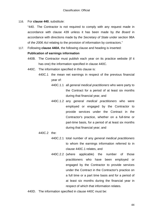116. For **clause 440**, substitute:

"440. The Contractor is not required to comply with any request made in accordance with clause 439 unless it has been made by *the Board* in accordance with directions made by *the Secretary of State* under section 98A of *the 2006 Act* relating to the provision of information by contractors."

117. Following **clause 440A**, the following clause and heading is inserted:

#### **Publication of earnings information**

- 440B. The Contractor must publish each year on its practice website (if it has one) the information specified in clause 440C.
- 440C. The information specified in this clause is:
	- 440C.1 the mean net earnings in respect of the previous financial year of:
		- 440C.1.1 all *general medical practitioners* who were party to the Contract for a period of at least six months during that financial year, and
		- 440C.1.2 any *general medical practitioners* who were employed or engaged by the Contractor to provide services under the Contract in the Contractor's practice, whether on a full-time or part-time basis, for a period of at least six months during that financial year; and
	- 440C.2 the:
		- 440C.2.1 total number of any *general medical practitioners* to whom the earnings information referred to in clause 440C.1 relates, and
		- 440C.2.2 (where applicable) the number of those practitioners who have been employed or engaged by the Contractor to provide services under the Contract in the Contractor's practice on a full time or a part time basis and for a period of at least six months during the financial year in respect of which that information relates.
- 440D. The information specified in clause 440C must be: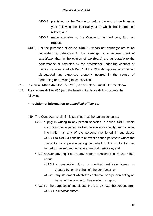- 440D.1 published by the Contractor before the end of the financial year following the financial year to which that information relates; and
- 440D.2 made available by the Contractor in hard copy form on request.
- 440E. For the purposes of clause 440C.1, "mean net earnings" are to be calculated by reference to the earnings of a *general medical practitioner* that, in the opinion of *the Board*, are attributable to the performance or provision by the practitioner under the contract of medical services to which Part 4 of the *2006 Act* applies, after having disregarded any expenses properly incurred in the course of performing or providing those services."
- 118. In **clause 446 to 448**, for "the PCT", in each place, substitute "*the Board*".
- 119. For **clauses 449 to 450** (and the heading to clause 449) substitute the following:

### **"Provision of information to a** *medical officer* **etc.**

- 449. The Contractor shall, if it is satisfied that the patient consents:
	- 449.1 supply in writing to any person specified in clause 449.3, within such reasonable period as that person may specify, such clinical information as any of the persons mentioned in sub-clause 449.3.1 to 449.3.4 considers relevant about a patient to whom the contractor or a person acting on behalf of the contractor has issued or has refused to issue a medical certificate; and
	- 449.2. answer any inquiries by any person mentioned in clause 449.3 about:
		- 449.2.1.a *prescription form* or medical certificate issued or created by, or on behalf of, the contractor, or
		- 449.2.2.any statement which the contractor or a person acting on behalf of the contractor has made in a report.
	- 449.3. For the purposes of sub-clause 449.1 and 449.2, the persons are: 449.3.1.a *medical officer*,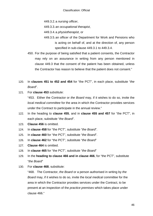449.3.2.a *nursing officer*,

449.3.3.an *occupational therapist*,

449.3.4.a *physiotherapist*, or

- 449.3.5.an officer of the Department for Work and Pensions who is acting on behalf of, and at the direction of, any person specified in sub-clause 449.3.1 to 449.3.4.
- 450. For the purpose of being satisfied that a patient consents, the Contractor may rely on an assurance in writing from any person mentioned in clause 449.3 that the consent of the patient has been obtained, unless the Contractor has reason to believe that the patient does not consent."
- 120. In **clauses 451 to 452 and 454** for "the PCT", in each place, substitute "*the Board*".
- 121. For **clause 453** substitute:

"453. Either the Contractor or *the Board* may, if it wishes to do so, invite the *local medical committee* for the area in which the Contractor provides services under the Contract to participate in the annual review."

- 122. In the heading to **clause 455**, and in **clause 455 and 457** for "the PCT", in each place, substitute "*the Board*".
- 123. **Clause 456** is omitted.
- 124. In **clause 458** for "the PCT", substitute "*the Board*".
- 125. In **clause 460** for "the PCT", substitute "*the Board*".
- 126. In **clause 462** for "the PCT", substitute "*the Board*"
- 127. **Clause 464** is omitted.
- 128. In **clause 465** for "the PCT", substitute "*the Board*"
- 129. In the **heading to clause 466 and in clause 466**, for "the PCT", substitute "*the Board*"
- 130. For **clause 468**, substitute:

"468. The Contractor, *the Board* or a person authorised in writing by *the Board* may, if it wishes to do so, invite the *local medical committee* for the area in which the Contractor provides services under the Contract, to be present at an inspection of the *practice premises* which takes place under clause 466."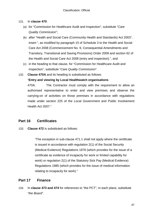#### 131. In **clause 470**:

- (a) for "Commission for Healthcare Audit and Inspection", substitute "*Care Quality Commission*";
- (b) after "Health and Social Care (Community Health and Standards) Act 2003", insert ", as modified by paragraph 15 of Schedule 3 to the Health and Social Care Act 2008 (Commencement No. 9, Consequential Amendments and Transitory, Transitional and Saving Provisions) Order 2009 and section 62 of the Health and Social Care Act 2008 (entry and inspection).", and
- (c) in the heading to that clause, for "Commission for Healthcare Audit and Inspection", substitute "*Care Quality Commission*".
- 132. **Clause 470A** and its heading is substituted as follows:

"**Entry and viewing by Local Healthwatch organisations**

470A. The Contractor must comply with the requirement to allow an authorised representative to enter and view premises and observe the carrying-on of activities on those premises in accordance with regulations made under section 225 of the Local Government and Public Involvement Health Act 2007."

## **Part 16 Certificates**

133. **Clause 472** is substituted as follows:

"The exception in sub-clause 471.1 shall not apply where the certificate is issued in accordance with regulation 2(1) of the Social Security (Medical Evidence) Regulations 1976 (which provides for the issue of a certificate as evidence of incapacity for work or limited capability for work) or regulation 2(1) of the Statutory Sick Pay (Medical Evidence) Regulations 1985 (which provides for the issue of medical information relating to incapacity for work)."

## **Part 17 Finance**

134. In **clause 473 and 474** for references to "the PCT", in each place, substitute "*the Board*".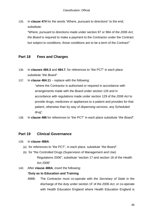135. In **clause 474** for the words "Where, pursuant to directions" to the end, substitute:

"Where, pursuant to directions made under section 87 or 98A of *the 2006 Act*, *the Board* is required to make a payment to the Contractor under the Contract but subject to conditions, those conditions are to be a term of the Contract"`

### **Part 18 Fees and Charges**

- 136. In **clauses 484.3** and **484.7**, for references to "the PCT" in each place substitute "*the Board*".
- 137. In **clause 484.11** replace with the following:

"where the Contractor is authorised or required in accordance with arrangements made with *the Board* under section 126 and in accordance with regulations made under section 129 of the *2006 Act* to provide drugs, medicines or appliances to a patient and provides for that patient, otherwise than by way of *dispensing services*, any Scheduled drug".

138. In **clause 486** for references to "the PCT" in each place substitute "*the Board*".

### **Part 19 Clinical Governance**

- 139. In **clause 488A**:
	- (a) for references to "the PCT", in each place, substitute "*the Board*".
	- (b) for "the Controlled Drugs (Supervision of Management and Use) Regulations 2006", substitute "section 17 and section 18 of the Health Act 2006"
- 140. After **clause 488A**, insert the following:

### "**Duty as to Education and Training**

488B. The Contractor must co-operate with *the Secretary of State* in the discharge of the duty under section 1F of *the 2006 Act*, or co-operate with Health Education England where Health Education England is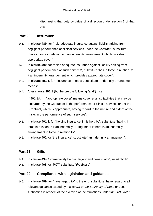discharging that duty by virtue of a direction under section 7 of that Act."

## **Part 20 Insurance**

- 141. In **clause 489**, for "hold adequate insurance against liability arising from negligent performance of clinical services under the Contract", substitute "have in force in relation to it an indemnity arrangement which provides appropriate cover".
- 142. In **clause 490**, for "holds adequate insurance against liability arising from negligent performance of such services", substitute "has in force in relation to it an indemnity arrangement which provides appropriate cover".
- 143. In **clause 491.1**, for ""insurance" means", substitute ""indemnity arrangement" means".
- 144. After **clause 491.1** (but before the following "and") insert:

"491.1A. "appropriate cover" means cover against liabilities that may be incurred by the Contractor in the performance of clinical services under the Contract, which is appropriate, having regard to the nature and extent of the risks in the performance of such services".

- 145. In **clause 491.2**, for "holding insurance if it is held by", substitute "having in force in relation to it an indemnity arrangement if there is an indemnity arrangement in force in relation to".
- 146. In **clause 492** for "the insurance" substitute "an indemnity arrangement".

# **Part 21 Gifts**

147. In **clause 494.3** immediately before "legally and beneficially", insert "both". 148. In **clause 498** for "PCT" substitute "*the Board*".

## **Part 22 Compliance with legislation and guidance**

149. In **clause 499**, for "have regard to" to the end, substitute "have regard to all relevant guidance issued by *the Board* or *the Secretary of State* or Local Authorities in respect of the exercise of their functions under *the 2006 Act*."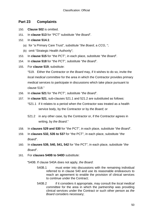## **Part 23 Complaints**

- 150. **Clause 502** is omitted.
- 151. In **clause 513** for "PCT" substitute "*the Board*".
- 152. In **clause 514.1**:
	- (a) for "a Primary Care Trust", substitute "*the Board*, a *CCG*, ";
	- (b) omit "Strategic Health Authority";
- 153. In **clause 515** for "the PCT", in each place, substitute "*the Board*".
- 154. In **clause 518** for "the PCT", substitute "*the Board*".
- 155. For **clause 519**, substitute:

"519. Either the Contractor or *the Board* may, if it wishes to do so, invite the *local medical committee* for the area in which the Contractor provides primary medical services to participate in discussions which take place pursuant to clause 518."

- 156. In **clause 521** for "the PCT", substitute "*the Board*".
- 157. In **clause 521**, sub-clauses 521.1 and 521.2 are substituted as follows:
	- "521.1 if it relates to a period when the Contractor was treated as a health service body, by the Contractor or by *the Board*; or
	- 521.2 in any other case, by the Contractor or, if the Contractor agrees in writing, by *the Board*."
- 158. In **clauses 529 and 530** for "the PCT", in each place, substitute "*the Board*".
- 159. In **clauses 532, 535 to 537** for "the PCT", in each place, substitute "*the Board*".
- 160. In **clauses 539, 540, 541, 542** for "the PCT", in each place, substitute "*the Board*".
- 161. For **clauses 540B to 540D** substitute:
	- "540B. If clause 540A does not apply, *the Board*:
		- 540B.1 must enter into discussions with the remaining individual referred to in clause 540 and use its reasonable endeavours to reach an agreement to enable the provision of clinical services to continue under the Contract;
		- 540B.2 if it considers it appropriate, may consult the *local medical committee* for the area in which the partnership was providing clinical services under the Contract or such other person as *the Board* considers necessary;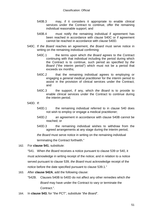- 540B.3 may, if it considers it appropriate to enable clinical services under the Contract to continue, offer the remaining individual reasonable support; and
- 540B.4 must notify the remaining individual if agreement has been reached in accordance with clause 540C or if agreement cannot be reached in accordance with clause 540D.
- 540C. If *the Board* reaches an agreement, *the Board* must serve notice in writing on the remaining individual confirming:
	- 540C.1 the terms upon which *the Board* agrees to the Contract continuing with that individual including the period during which the Contract is to continue, such period as specified by *the Board* ("the interim period") which must not be a period that exceeds six months;
	- 540C.2 that the remaining individual agrees to employing or engaging a *general medical practitioner* for the interim period to assist in the provision of clinical services under the Contract; and
	- 540C.3 the support, if any, which *the Board* is to provide to enable clinical services under the Contract to continue during the interim period.

540D. If:

- 540D.1 the remaining individual referred to in clause 540 does not wish to employ or engage a medical practitioner;
- 540D.2 an agreement in accordance with clause 540B cannot be reached; or
- 540D.3 the remaining individual wishes to withdraw from the agreed arrangements at any stage during the interim period,

*the Board* must serve notice in writing on the remaining individual

terminating the Contract forthwith."

162. For **clause 541**, substitute:

"541. When *the Board* receives a notice pursuant to clause 539 or 540, it must acknowledge in writing receipt of the notice; and in relation to a notice served pursuant to clause 539, *the Board* must acknowledge receipt of the notice before the date specified pursuant to clause 539.1."

- 163. After **clause 542A**, add the following clause:
	- "542B. Clauses 540B to 540D do not affect any other remedies which *the Board* may have under the Contract to vary or terminate the Contract.".
- 164. In **clause 543**, for "the PCT", substitute "*the Board*".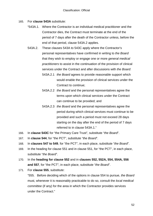- 165. For **clause 543A** substitute:
	- "543A.1. Where the Contractor is an individual medical practitioner and the Contractor dies, the Contract must terminate at the end of the period of 7 days after the death of the Contractor unless, before the end of that period, clause 543A.2 applies.
	- 543A.2. These clauses 543A to 543C apply where the Contractor's personal representatives have confirmed in writing to *the Board* that they wish to employ or engage one or more *general medical practitioners* to assist in the continuation of the provision of clinical services under the Contract and after discussions with *the Board*:
		- 543A.2.1 *the Board* agrees to provide reasonable support which would enable the provision of clinical services under the Contract to continue;
		- 543A.2.2 *the Board* and the personal representatives agree the terms upon which clinical services under the Contract can continue to be provided; and
		- 543A.2.3 *the Board* and the personal representatives agree the period during which clinical services must continue to be provided and such a period must not exceed 28 days starting on the day after the end of the period of 7 days referred to in clause 543A.1."
- 166. In **clause 543C** for "the Primary Care Trust", substitute "*the Board*".
- 167. In **clause 544**, for "the PCT", substitute "*the Board*".
- 168. In **clauses 547 to 549**, for "the PCT", in each place, substitute "*the Board*".
- 169. In the heading for clause 551 and in clause 551, for "the PCT", in each place, substitute "*the Board*".
- 170. In the **heading for clause 552** and in **clauses 552, 552A, 554, 554A, 556 and 557**, for "the PCT", in each place, substitute "*the Board*".
- 171. For **clause 555**, substitute:

"555. Before deciding which of the options in clause 554 to pursue, *the Board* must, whenever it is reasonably practicable to do so, consult the *local medical committee* (if any) for the area in which the Contractor provides services under the Contract."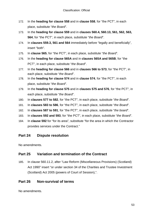- 172. In the **heading for clause 558** and in **clause 558**, for "the PCT", in each place, substitute "*the Board*".
- 173. In the **heading for clause 559** and in **clauses 560.4, 560.13, 561, 562, 563, 564**, for "the PCT", in each place, substitute "*the Board*".
- 174. In **clauses 559.3, 561 and 564** immediately before "legally and beneficially", insert "both".
- 175. In **clause 565**, for "the PCT", in each place, substitute "*the Board*".
- 176. In the **heading for clause 565A** and in **clauses 565A and 565B**, for "the PCT", in each place, substitute "*the Board*".
- 177. In the **heading for clause 566** and in **clauses 566 to 573**, for "the PCT", in each place, substitute "*the Board*".
- 178. In the **heading for clause 574** and in **clause 574**, for "the PCT", in each place, substitute "*the Board*".
- 179. In the **heading for clause 575** and in **clauses 575 and 576**, for "the PCT", in each place, substitute "*the Board*".
- 180. In **clauses 577 to 582**, for "the PCT", in each place, substitute "*the Board*".
- 181. In **clauses 583 to 586**, for "the PCT", in each place, substitute "*the Board*".
- 182. In **clauses 587 to 591**, for "the PCT", in each place, substitute "*the board*".
- 183. In **clauses 592 and 593**, for "the PCT", in each place, substitute "*the Board*".
- 184. In **clause 592** for "for its area", substitute "for the area in which the Contractor provides services under the Contract."

## **Part 24 Dispute resolution**

No amendments.

## **Part 25 Variation and termination of the Contract**

185. In clause 560.11.2, after "Law Reform (Miscellaneous Provisions) (Scotland) Act 1990" insert "or under section 34 of the Charities and Trustee Investment (Scotland) Act 2005 (powers of Court of Session),".

## **Part 26 Non-survival of terms**

No amendments.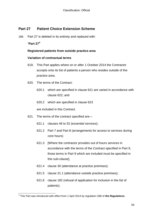## **Part 27 Patient Choice Extension Scheme**

186. Part 27 is deleted in its entirety and replaced with:

### "**Part 27[4](#page-21-0)**

#### **Registered patients from outside practice area**

#### **Variation of contractual terms**

- 619. This Part applies where on or after 1 October 2014 the Contractor accepts onto its list of patients a person who resides outside of the *practice area*.
- 620. The terms of the Contract:
	- 620.1 which are specified in clause 621 are varied in accordance with clause 622; and
	- 620.2 which are specified in clause 623

are included in this Contract.

- 621. The terms of the contract specified are—
	- 621.1 clauses 46 to 52 (*essential services*);
	- 621.2 Part 7 and Part 8 (arrangements for access to services during core hours)
	- 621.3 [Where the contractor provides out of hours services in accordance with the terms of the Contract specified in Part 9, those terms in Part 9 which are included must be specified in this sub-clause];
	- 621.4 clause 30 (attendance at practice premises);
	- 621.5 clause 31.1 (attendance outside practice premises);
	- 621.6 clause 182 (refusal of application for inclusion in the list of patients).

 <sup>4</sup> This Part was introduced with effect from 1 April 2014 by regulation 26B of *the Regulations***.**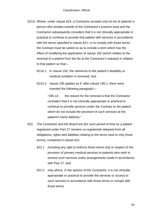- 621A. Where, under clause 619, a Contractor accepts onto its list of patients a person who resides outside of the Contractor's practice area and the Contractor subsequently considers that it is not clinically appropriate or practical to continue to provide that patient with services in accordance with the terms specified in clause 621, or to comply with those terms, the Contract must be varied so as to include a term which has the effect of modifying the application of clause 192 (which relates to the removal of a patient from the list at the Contractor's request) in relation to that patient so that—
	- 621A.1 In clause 192, the reference to the patient's disability or medical condition is removed; and
	- 621A.2 clause 195 applies as if, after clause 195.1, there were inserted the following paragraph—

"195.1A the reason for the removal is that the Contractor considers that it is not clinically appropriate or practical to continue to provide services under the Contract to the patient which do not include the provision of such services at the patient's home address.".

- 622. The Contractor and *the Board* are (for such period of time as a patient registered under Part 27 remains so registered) released from all obligations, rights and liabilities relating to the terms (and to only those terms), contained in clause 621:
	- 622.1 including any right to enforce those terms only in respect of the provision of primary medical services to patients who wish to receive such services under arrangements made in accordance with Part 27; and
	- 622.2 only where, in the opinion of the Contractor, it is not clinically appropriate or practical to provide the services or access to such services in accordance with those terms or comply with those terms.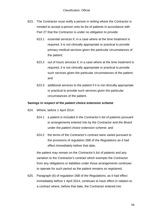- 623. The Contractor must notify a person in writing where the Contractor is minded to accept a person onto its list of patients in accordance with Part 27 that the Contractor is under no obligation to provide:
	- 623.1 *essential services* if, in a case where at the time treatment is required, it is not clinically appropriate or practical to provide primary medical services given the particular circumstances of the patient;
	- 623.2 out of hours services if, in a case where at the time treatment is required, it is not clinically appropriate or practical to provide such services given the particular circumstances of the patient: and
	- 623.3 additional services to the patient if it is not clinically appropriate or practical to provide such services given the particular circumstances of the patient.

#### **Savings in respect of the** *patient choice extension scheme*

- 624. Where, before 1 April 2014:
	- 624.1 a patient is included in the *Contractor's list of patients* pursuant to arrangements entered into by the Contractor and *the Board* under the *patient choice extension scheme*; and
	- 624.2 the terms of the Contractor's contract were varied pursuant to the provisions of regulation 26B of *the Regulations* as it had effect immediately before that date,

the patient may remain on the *Contractor's list of patients* and any variation to the Contractor's contract which exempts the Contractor from any obligations or liabilities under those arrangements continues to operate for such period as the patient remains so registered.

625. Paragraph (6) of regulation 26B of *the Regulations*, as it had effect immediately before 1 April 2014, continues to have effect in relation to a contract where, before that date, the Contractor entered into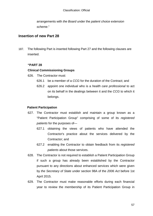arrangements with *the Board* under the *patient choice extension scheme*."

### **Insertion of new Part 28**

187. The following Part is inserted following Part 27 and the following clauses are inserted.

### **"PART 28**

#### **Clinical Commissioning Groups**

- 626. The Contractor must:
	- 626.1 be a member of a *CCG* for the duration of the Contract; and
	- 626.2 appoint one individual who is a *health care professional* to act on its behalf in the dealings between it and the *CCG* to which it belongs.

#### **Patient Participation**

- 627. The Contractor must establish and maintain a group known as a "Patient Participation Group" comprising of some of its *registered patients* for the purposes of—
	- 627.1 obtaining the views of patients who have attended the Contractor's practice about the services delivered by the Contractor; and
	- 627.2 enabling the Contractor to obtain feedback from its *registered patients* about those services.
- 628. The Contractor is not required to establish a Patient Participation Group if such a group has already been established by the Contractor pursuant to any directions about enhanced services which were given by *the Secretary of State* under section 98A of the *2006 Act* before 1st April 2015.
- 629. The Contractor must make reasonable efforts during each financial year to review the membership of its Patient Participation Group in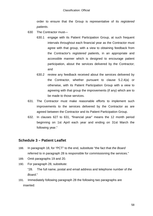order to ensure that the Group is representative of its *registered patients*.

- 630 The Contractor must—
	- 630.1 engage with its Patient Participation Group, at such frequent intervals throughout each financial year as the Contractor must agree with that group, with a view to obtaining feedback from the Contractor's *registered patient*s, in an appropriate and accessible manner which is designed to encourage patient participation, about the services delivered by the Contractor; and
	- 630.2 review any feedback received about the services delivered by the Contractor, whether pursuant to clause 5.2.4(a) or otherwise, with its Patient Participation Group with a view to agreeing with that group the improvements (if any) which are to be made to those services.
- 631. The Contractor must make reasonable efforts to implement such improvements to the services delivered by the Contractor as are agreed between the Contractor and its Patient Participation Group.
- 632. In clauses 627 to 631, "financial year" means the 12 month period beginning on 1st April each year and ending on 31st March the following year."

### **Schedule 3 – Patient Leaflet**

- 188. In paragraph 18, for "PCT" to the end, substitute "the fact that *the Board* referred to in paragraph 28 is responsible for commissioning the services."
- 189. Omit paragraphs 19 and 20.
- 190. For paragraph 28, substitute: "28. The full name, postal and email address and telephone number of *the Board*."
- 191. Immediately following paragraph 28 the following two paragraphs are inserted: